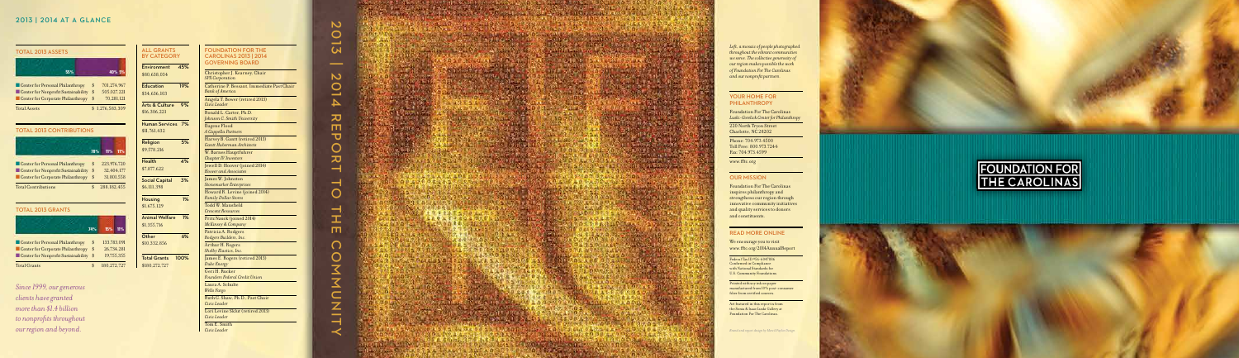| <b><i>SSETS</i></b>                                              |                |                                          | <b>ALL</b><br>BY 0 |
|------------------------------------------------------------------|----------------|------------------------------------------|--------------------|
| 55%                                                              |                | 40% 5%                                   | Envir<br>\$80.6    |
| onal Philanthropy<br>profit Sustainability<br>orate Philanthropy | \$<br>\$<br>\$ | 701,274,967<br>505,027,221<br>70,281,121 | Educ<br>\$34.6     |
|                                                                  |                | \$1,276,583,309                          | Arts<br>\$16,3     |

**ATEGORY** onment 45%

## TOTAL 2013 CONTRIBUTIONS

| 55%                                                                                                          |                | 40% 5%                                   |
|--------------------------------------------------------------------------------------------------------------|----------------|------------------------------------------|
| Center for Personal Philanthropy<br>Center for Nonprofit Sustainability<br>Center for Corporate Philanthropy | \$<br>\$<br>\$ | 701,274,967<br>505,027,221<br>70,281,121 |
| <b>Total Assets</b>                                                                                          |                | \$1.276.583.309                          |

## TOTAL 2013 GRANTS

|                                                                          | 74%      | 15%         | 11%        |
|--------------------------------------------------------------------------|----------|-------------|------------|
| Center for Personal Philanthropy                                         | \$       | 133,783,091 |            |
| Center for Corporate Philanthropy<br>Center for Nonprofit Sustainability | \$<br>\$ | 26,734,281  | 19,755,355 |
| <b>Total Grants</b>                                                      | \$       | 180,272,727 |            |

## 2013 | 2014 AT A GLANCE

## **TOTAL 2013 A**

*Since 1999, our generous clients have granted more than \$1.4 billion to nonprofits throughout our region and beyond.*

| <b>FOUNDATION FOR THE</b><br><b>CAROLINAS 2013   2014</b><br><b>GOVERNING BOARD</b> |
|-------------------------------------------------------------------------------------|
| Christopher J. Kearney, Chair<br><b>SPX</b> Corporation                             |
| Catherine P. Bessant, Immediate Pas<br><b>Bank</b> of America                       |
| Angela T. Bower (retired 2013)                                                      |

t Chair

*Civic Leader*

tation 19% \$34,636,103 & Culture 9%

> 220 North Tryon Street Charlotte, NC 28202

Ronald L. Carter, Ph.D. *Johnson C. Smith University* Eugene Flood *A Cappella Partners* Harvey B. Gantt (retired 2013) *Gantt Huberman Architects* W. Barnes Hauptfuhrer *Chapter IV Investors*  Jewell D. Hoover (joined 2014) *Hoover and Associates* James W. Johnston *Stonemarker Enterprises* Howard R. Levine (joined 2014) *Family Dollar Stores* Todd W. Mansfield *Crescent Resources* Fritz Nauck (joined 2014)

*McKinsey & Company* Patricia A. Rodgers *Rodgers Builders, Inc.* Arthur H. Rogers *Shelby Elastics, Inc.* James E. Rogers (retired 2013)

# 2013 |  $\overline{\mathbf{C}}$ 2014 REPORT TO THE COMMUNITY $\overline{O}$ السبا  $\overline{\mathbf{v}}$ m.  $\overline{\mathbf{U}}$  $\overline{O}$  $\pmb{\pi}$  $\overline{\phantom{0}}$ ᅴ  $\overline{O}$  $\overline{\phantom{0}}$ H m  $\Omega$  $\overline{O}$  $\overline{\mathbf{X}}$  $\overline{a}$  $\overline{z}$  $\rightarrow$





*Duke Energy*  Geri H. Rucker *Founders Federal Credit Union*  Laura A. Schulte

*Wells Fargo* Ruth G. Shaw, Ph.D., Past Chair

*Civic Leader*

|                                                                         | 78%      | $11\%$      | 11% |
|-------------------------------------------------------------------------|----------|-------------|-----|
|                                                                         |          | 223,976,720 |     |
| Center for Personal Philanthropy<br>Center for Nonprofit Sustainability | \$<br>\$ | 32,404,177  |     |
| Center for Corporate Philanthropy                                       | \$       | 31,801,558  |     |
| <b>Total Contributions</b>                                              |          | 288,182,455 |     |
|                                                                         |          |             |     |

Lori Levine Sklut (retired 2013) *Civic Leader*

Tom E. Smith

*Civic Leader*

*Left, a mosaic of people photographed throughout the vibrant communities we serve. The collective generosity of our region makes possible the work of Foundation For The Carolinas and our nonprofit partners.*

#### YOUR HOME FOR **PHILANTHROPY**

Foundation For The Carolinas *Luski-Gorelick Center for Philanthropy*

Phone: 704.973.4500 Toll Free: 800.973.7244 Fax: 704.973.4599

www.fftc.org

#### OUR MISSION

Foundation For The Carolinas inspires philanthropy and strengthens our region through innovative community initiatives and quality services to donors and constituents.

## READ MORE ONLINE

We encourage you to visit www.fftc.org/2014AnnualReport

Federal Tax ID #56-6047886 Confirmed in Compliance with National Standards for U.S. Community Foundations

Printed with soy ink on paper manufactured from 10% post-consumer fiber from certified sources.

Art featured in this report is from the Sonia & Isaac Luski Gallery at Foundation For The Carolinas.

*Brand and report design by Mervil Paylor Design*









\$80,638,034

**GRANTS** 

\$16,306,221

Human Services 7% \$11,761,432

| Religion<br>\$9,578,216              | 5% |
|--------------------------------------|----|
| Health                               | 4% |
| \$7,877,622                          |    |
| <b>Social Capital</b><br>\$6,111,398 | 3% |
| Housing<br>\$1,675,129               | 1% |

| 1% |
|----|
|    |
| 6% |
|    |
|    |

Total Grants 100% \$180,272,727